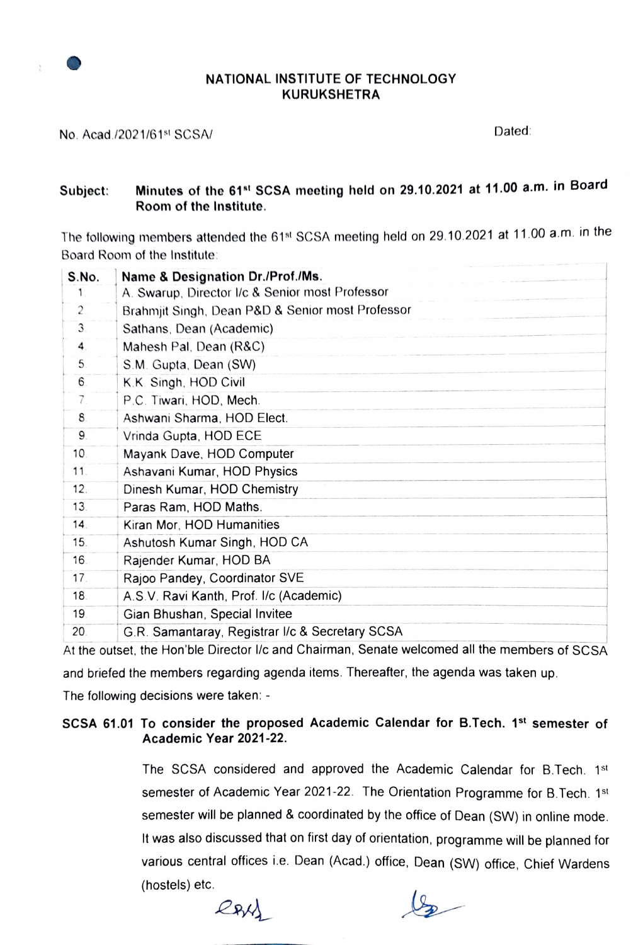### NATIONAL INSTITUTE OF TECHNOLOGY KURUKSHETRA

No. Acad./2021/61<sup>st</sup> SCSA/ Dated:

#### Minutes of the 61st SCSA mecting held on 29.10.2021 at 11.00 a.m. in Board Room of the Institute. Subject:

The following members attended the 61<sup>st</sup> SCSA meeting held on 29.10.2021 at 11.00 a.m. in the Board Room of the Institute:

| Name & Designation Dr./Prof./Ms.                 |
|--------------------------------------------------|
| A. Swarup, Director I/c & Senior most Professor  |
| Brahmjit Singh, Dean P&D & Senior most Professor |
| Sathans, Dean (Academic)                         |
| Mahesh Pal, Dean (R&C)                           |
| S.M. Gupta, Dean (SW)                            |
| K.K. Singh, HOD Civil                            |
| P.C. Tiwari, HOD, Mech.                          |
| Ashwani Sharma, HOD Elect.                       |
| Vrinda Gupta, HOD ECE                            |
| Mayank Dave, HOD Computer                        |
| Ashavani Kumar, HOD Physics                      |
| Dinesh Kumar, HOD Chemistry                      |
| Paras Ram, HOD Maths.                            |
| Kiran Mor, HOD Humanities                        |
| Ashutosh Kumar Singh, HOD CA                     |
| Rajender Kumar, HOD BA                           |
| Rajoo Pandey, Coordinator SVE                    |
| A.S.V. Ravi Kanth, Prof. I/c (Academic)          |
| Gian Bhushan, Special Invitee                    |
| G.R. Samantaray, Registrar I/c & Secretary SCSA  |
|                                                  |

At the outset. the Hon'ble Director l/c and Chairman, Senate welcomed all the members of SCSA and briefed the members regarding agenda items. Thereafter, the agenda was taken up.

The following decisions were taken:

## SCSA 61.01 To consider the proposed Academic Calendar for B.Tech. 1st semester of Academic Year 2021-22.

The SCSA considered and approved the Academic Calendar for B.Tech. 1st semester of Academic Year 2021-22. The Orientation Programme for B.Tech. 1st semester will be planned & coordinated by the office of Dean (SW) in online mode. It was also discussed that on first day of orientation, programme will be planned for various central offices i.e. Dean (Acad.) office, Dean (SW) office, Chief Wardens (hostels) etc.

RAY